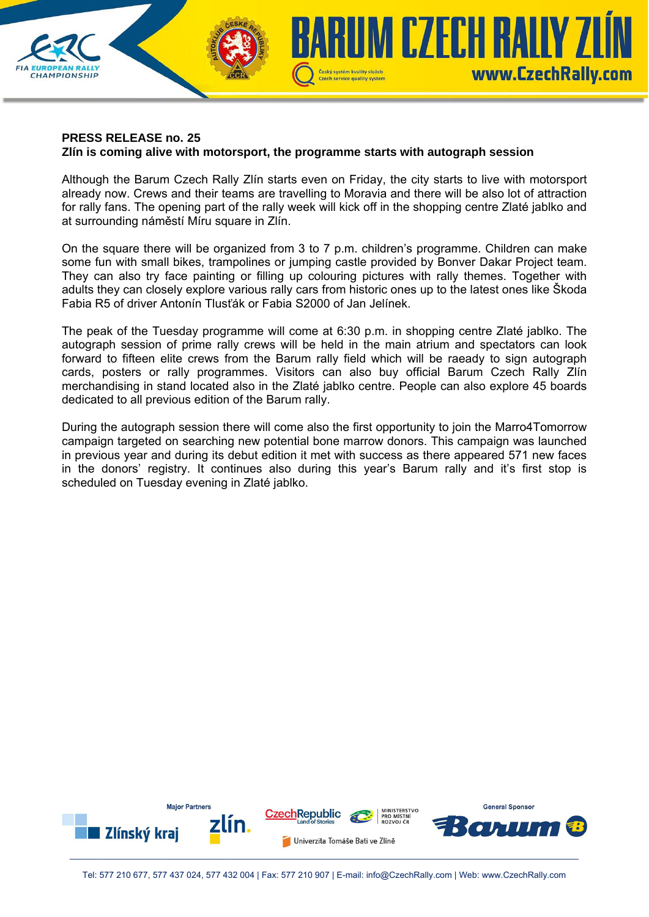

## **PRESS RELEASE no. 25 Zlín is coming alive with motorsport, the programme starts with autograph session**

Although the Barum Czech Rally Zlín starts even on Friday, the city starts to live with motorsport already now. Crews and their teams are travelling to Moravia and there will be also lot of attraction for rally fans. The opening part of the rally week will kick off in the shopping centre Zlaté jablko and at surrounding náměstí Míru square in Zlín.

On the square there will be organized from 3 to 7 p.m. children's programme. Children can make some fun with small bikes, trampolines or jumping castle provided by Bonver Dakar Project team. They can also try face painting or filling up colouring pictures with rally themes. Together with adults they can closely explore various rally cars from historic ones up to the latest ones like Škoda Fabia R5 of driver Antonín Tlusťák or Fabia S2000 of Jan Jelínek.

The peak of the Tuesday programme will come at 6:30 p.m. in shopping centre Zlaté jablko. The autograph session of prime rally crews will be held in the main atrium and spectators can look forward to fifteen elite crews from the Barum rally field which will be raeady to sign autograph cards, posters or rally programmes. Visitors can also buy official Barum Czech Rally Zlín merchandising in stand located also in the Zlaté jablko centre. People can also explore 45 boards dedicated to all previous edition of the Barum rally.

During the autograph session there will come also the first opportunity to join the Marro4Tomorrow campaign targeted on searching new potential bone marrow donors. This campaign was launched in previous year and during its debut edition it met with success as there appeared 571 new faces in the donors' registry. It continues also during this year's Barum rally and it's first stop is scheduled on Tuesday evening in Zlaté jablko.